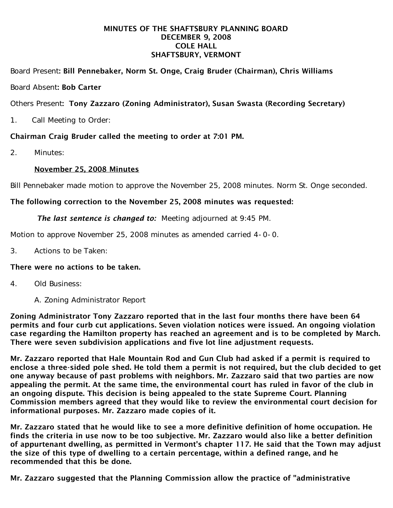## MINUTES OF THE SHAFTSBURY PLANNING BOARD DECEMBER 9, 2008 COLE HALL SHAFTSBURY, VERMONT

# Board Present: Bill Pennebaker, Norm St. Onge, Craig Bruder (Chairman), Chris Williams

## Board Absent: Bob Carter

# Others Present: Tony Zazzaro (Zoning Administrator), Susan Swasta (Recording Secretary)

1. Call Meeting to Order:

# Chairman Craig Bruder called the meeting to order at 7:01 PM.

2. Minutes:

## November 25, 2008 Minutes

Bill Pennebaker made motion to approve the November 25, 2008 minutes. Norm St. Onge seconded.

## The following correction to the November 25, 2008 minutes was requested:

#### *The last sentence is changed to:* Meeting adjourned at 9:45 PM.

Motion to approve November 25, 2008 minutes as amended carried 4-0-0.

3. Actions to be Taken:

# There were no actions to be taken.

- 4. Old Business:
	- A. Zoning Administrator Report

Zoning Administrator Tony Zazzaro reported that in the last four months there have been 64 permits and four curb cut applications. Seven violation notices were issued. An ongoing violation case regarding the Hamilton property has reached an agreement and is to be completed by March. There were seven subdivision applications and five lot line adjustment requests.

Mr. Zazzaro reported that Hale Mountain Rod and Gun Club had asked if a permit is required to enclose a three-sided pole shed. He told them a permit is not required, but the club decided to get one anyway because of past problems with neighbors. Mr. Zazzaro said that two parties are now appealing the permit. At the same time, the environmental court has ruled in favor of the club in an ongoing dispute. This decision is being appealed to the state Supreme Court. Planning Commission members agreed that they would like to review the environmental court decision for informational purposes. Mr. Zazzaro made copies of it.

Mr. Zazzaro stated that he would like to see a more definitive definition of home occupation. He finds the criteria in use now to be too subjective. Mr. Zazzaro would also like a better definition of appurtenant dwelling, as permitted in Vermont's chapter 117. He said that the Town may adjust the size of this type of dwelling to a certain percentage, within a defined range, and he recommended that this be done.

Mr. Zazzaro suggested that the Planning Commission allow the practice of "administrative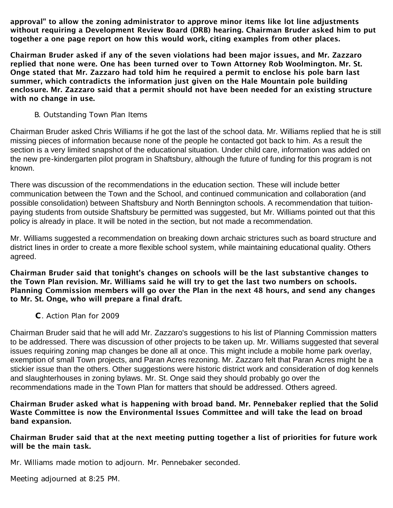approval" to allow the zoning administrator to approve minor items like lot line adjustments without requiring a Development Review Board (DRB) hearing. Chairman Bruder asked him to put together a one page report on how this would work, citing examples from other places.

Chairman Bruder asked if any of the seven violations had been major issues, and Mr. Zazzaro replied that none were. One has been turned over to Town Attorney Rob Woolmington. Mr. St. Onge stated that Mr. Zazzaro had told him he required a permit to enclose his pole barn last summer, which contradicts the information just given on the Hale Mountain pole building enclosure. Mr. Zazzaro said that a permit should not have been needed for an existing structure with no change in use.

## B. Outstanding Town Plan Items

Chairman Bruder asked Chris Williams if he got the last of the school data. Mr. Williams replied that he is still missing pieces of information because none of the people he contacted got back to him. As a result the section is a very limited snapshot of the educational situation. Under child care, information was added on the new pre-kindergarten pilot program in Shaftsbury, although the future of funding for this program is not known.

There was discussion of the recommendations in the education section. These will include better communication between the Town and the School, and continued communication and collaboration (and possible consolidation) between Shaftsbury and North Bennington schools. A recommendation that tuitionpaying students from outside Shaftsbury be permitted was suggested, but Mr. Williams pointed out that this policy is already in place. It will be noted in the section, but not made a recommendation.

Mr. Williams suggested a recommendation on breaking down archaic strictures such as board structure and district lines in order to create a more flexible school system, while maintaining educational quality. Others agreed.

Chairman Bruder said that tonight's changes on schools will be the last substantive changes to the Town Plan revision. Mr. Williams said he will try to get the last two numbers on schools. Planning Commission members will go over the Plan in the next 48 hours, and send any changes to Mr. St. Onge, who will prepare a final draft.

C. Action Plan for 2009

Chairman Bruder said that he will add Mr. Zazzaro's suggestions to his list of Planning Commission matters to be addressed. There was discussion of other projects to be taken up. Mr. Williams suggested that several issues requiring zoning map changes be done all at once. This might include a mobile home park overlay, exemption of small Town projects, and Paran Acres rezoning. Mr. Zazzaro felt that Paran Acres might be a stickier issue than the others. Other suggestions were historic district work and consideration of dog kennels and slaughterhouses in zoning bylaws. Mr. St. Onge said they should probably go over the recommendations made in the Town Plan for matters that should be addressed. Others agreed.

## Chairman Bruder asked what is happening with broad band. Mr. Pennebaker replied that the Solid Waste Committee is now the Environmental Issues Committee and will take the lead on broad band expansion.

# Chairman Bruder said that at the next meeting putting together a list of priorities for future work will be the main task.

Mr. Williams made motion to adjourn. Mr. Pennebaker seconded.

Meeting adjourned at 8:25 PM.